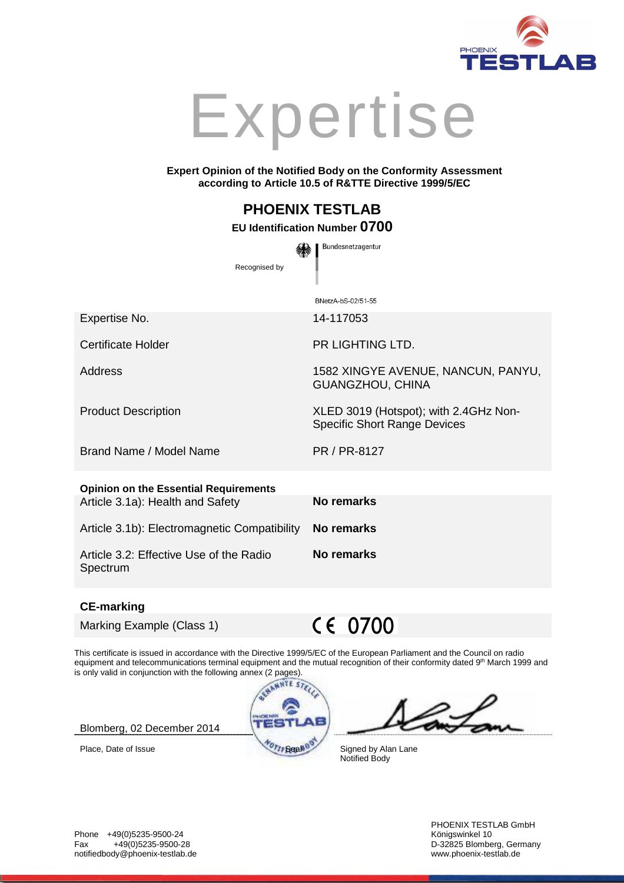

# Expertise

#### **Expert Opinion of the Notified Body on the Conformity Assessment according to Article 10.5 of R&TTE Directive 1999/5/EC**

BNetzA-bS-02/51-55

## **PHOENIX TESTLAB**

### **EU Identification Number 0700**  Bundesnetzagentur

Recognised by

Expertise No. 14-117053

Certificate Holder **PR LIGHTING LTD.** 

Address 1582 XINGYE AVENUE, NANCUN, PANYU,

Product Description XLED 3019 (Hotspot); with 2.4GHz Non-

Brand Name / Model Name **PR / PR-8127** 

| <b>Opinion on the Essential Requirements</b> |            |
|----------------------------------------------|------------|
| Article 3.1a): Health and Safety             | No remarks |
|                                              |            |

Article 3.1b): Electromagnetic Compatibility **No remarks**

Article 3.2: Effective Use of the Radio Spectrum

#### **CE-marking**

Marking Example (Class 1)

 $C \in 0700$ 

**No remarks**

GUANGZHOU, CHINA

Specific Short Range Devices

This certificate is issued in accordance with the Directive 1999/5/EC of the European Parliament and the Council on radio equipment and telecommunications terminal equipment and the mutual recognition of their conformity dated 9<sup>th</sup> March 1999 and is only valid in conjunction with the following annex (2 pages).

Blomberg, 02 December 2014



Place, Date of Issue Signed by Alan Lane Notified Body

Phone +49(0)5235-9500-24<br>Fax +49(0)5235-9500-28 Fax +49(0)5235-9500-28 D-32825 Blomberg, Germany notifiedbody@phoenix-testlab.de

PHOENIX TESTLAB GmbH<br>Königswinkel 10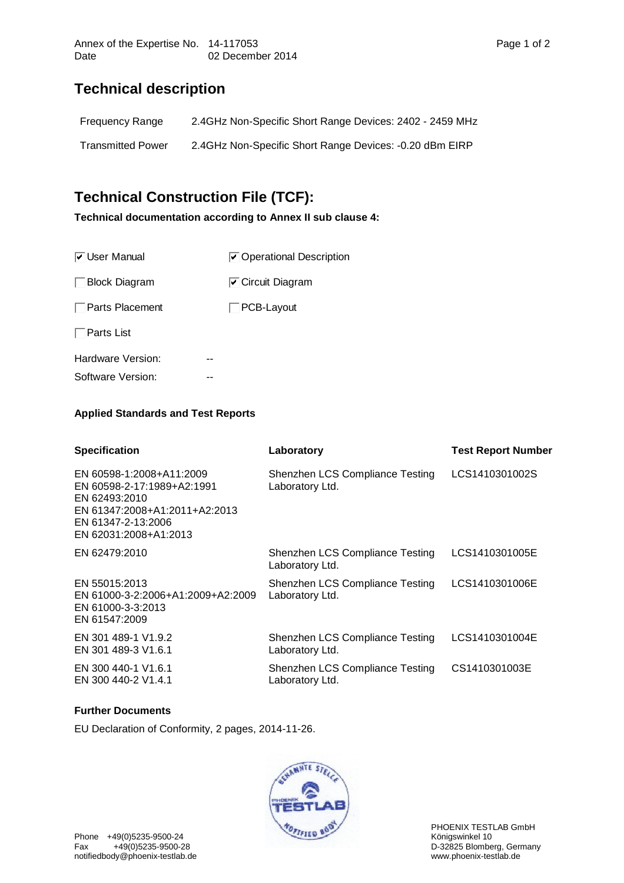## **Technical description**

| Frequency Range          | 2.4GHz Non-Specific Short Range Devices: 2402 - 2459 MHz |
|--------------------------|----------------------------------------------------------|
| <b>Transmitted Power</b> | 2.4GHz Non-Specific Short Range Devices: -0.20 dBm EIRP  |

## **Technical Construction File (TCF):**

**Technical documentation according to Annex II sub clause 4:** 

| <b>⊽</b> User Manual | ◯ Operational Description        |
|----------------------|----------------------------------|
| <b>Block Diagram</b> | $\triangleright$ Circuit Diagram |
| Parts Placement      | PCB-Layout                       |
| Parts List           |                                  |
| Hardware Version:    |                                  |
| Software Version:    |                                  |

#### **Applied Standards and Test Reports**

| <b>Specification</b>                                                                                                                                    | Laboratory                                         | <b>Test Report Number</b> |
|---------------------------------------------------------------------------------------------------------------------------------------------------------|----------------------------------------------------|---------------------------|
| EN 60598-1:2008+A11:2009<br>EN 60598-2-17:1989+A2:1991<br>EN 62493:2010<br>EN 61347:2008+A1:2011+A2:2013<br>EN 61347-2-13:2006<br>EN 62031:2008+A1:2013 | Shenzhen LCS Compliance Testing<br>Laboratory Ltd. | LCS1410301002S            |
| EN 62479:2010                                                                                                                                           | Shenzhen LCS Compliance Testing<br>Laboratory Ltd. | LCS1410301005E            |
| EN 55015:2013<br>EN 61000-3-2:2006+A1:2009+A2:2009<br>EN 61000-3-3:2013<br>EN 61547:2009                                                                | Shenzhen LCS Compliance Testing<br>Laboratory Ltd. | LCS1410301006E            |
| EN 301 489-1 V1.9.2<br>EN 301 489-3 V1.6.1                                                                                                              | Shenzhen LCS Compliance Testing<br>Laboratory Ltd. | LCS1410301004E            |
| EN 300 440-1 V1.6.1<br>EN 300 440-2 V1.4.1                                                                                                              | Shenzhen LCS Compliance Testing<br>Laboratory Ltd. | CS1410301003E             |

#### **Further Documents**

EU Declaration of Conformity, 2 pages, 2014-11-26.



PHOENIX TESTLAB GmbH<br>Königswinkel 10